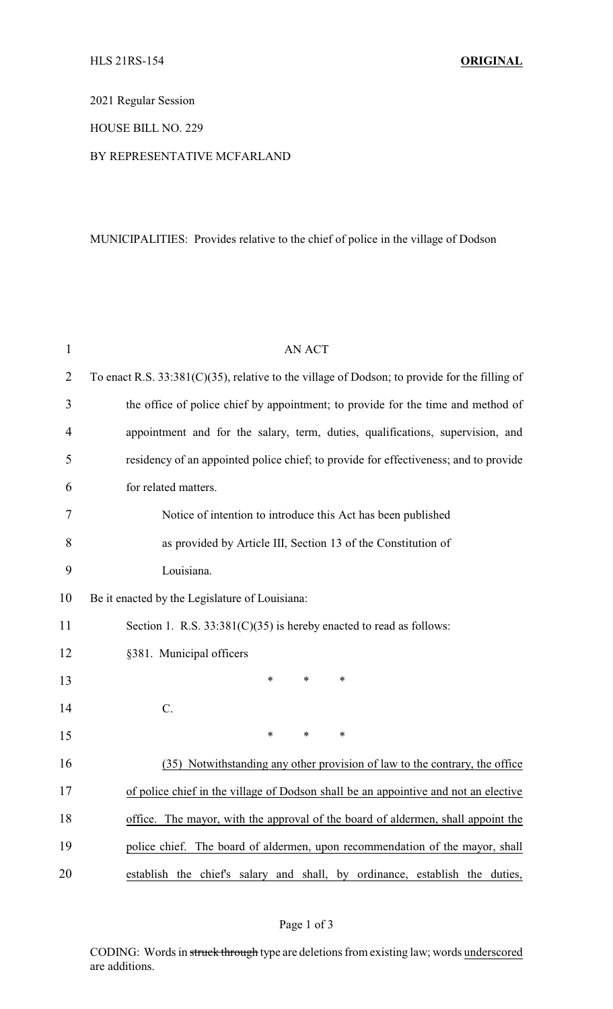2021 Regular Session

## HOUSE BILL NO. 229

## BY REPRESENTATIVE MCFARLAND

## MUNICIPALITIES: Provides relative to the chief of police in the village of Dodson

| $\mathbf{1}$ | <b>AN ACT</b>                                                                                    |  |  |
|--------------|--------------------------------------------------------------------------------------------------|--|--|
| 2            | To enact R.S. $33:381(C)(35)$ , relative to the village of Dodson; to provide for the filling of |  |  |
| 3            | the office of police chief by appointment; to provide for the time and method of                 |  |  |
| 4            | appointment and for the salary, term, duties, qualifications, supervision, and                   |  |  |
| 5            | residency of an appointed police chief; to provide for effectiveness; and to provide             |  |  |
| 6            | for related matters.                                                                             |  |  |
| 7            | Notice of intention to introduce this Act has been published                                     |  |  |
| 8            | as provided by Article III, Section 13 of the Constitution of                                    |  |  |
| 9            | Louisiana.                                                                                       |  |  |
| 10           | Be it enacted by the Legislature of Louisiana:                                                   |  |  |
| 11           | Section 1. R.S. $33:381(C)(35)$ is hereby enacted to read as follows:                            |  |  |
| 12           | §381. Municipal officers                                                                         |  |  |
| 13           | ∗<br>*<br>∗                                                                                      |  |  |
| 14           | $C$ .                                                                                            |  |  |
| 15           | ∗<br>*<br>$\ast$                                                                                 |  |  |
| 16           | (35) Notwithstanding any other provision of law to the contrary, the office                      |  |  |
| 17           | of police chief in the village of Dodson shall be an appointive and not an elective              |  |  |
| 18           | office. The mayor, with the approval of the board of aldermen, shall appoint the                 |  |  |
| 19           | police chief. The board of aldermen, upon recommendation of the mayor, shall                     |  |  |
| 20           | establish the chief's salary and shall, by ordinance, establish the duties,                      |  |  |

CODING: Words in struck through type are deletions from existing law; words underscored are additions.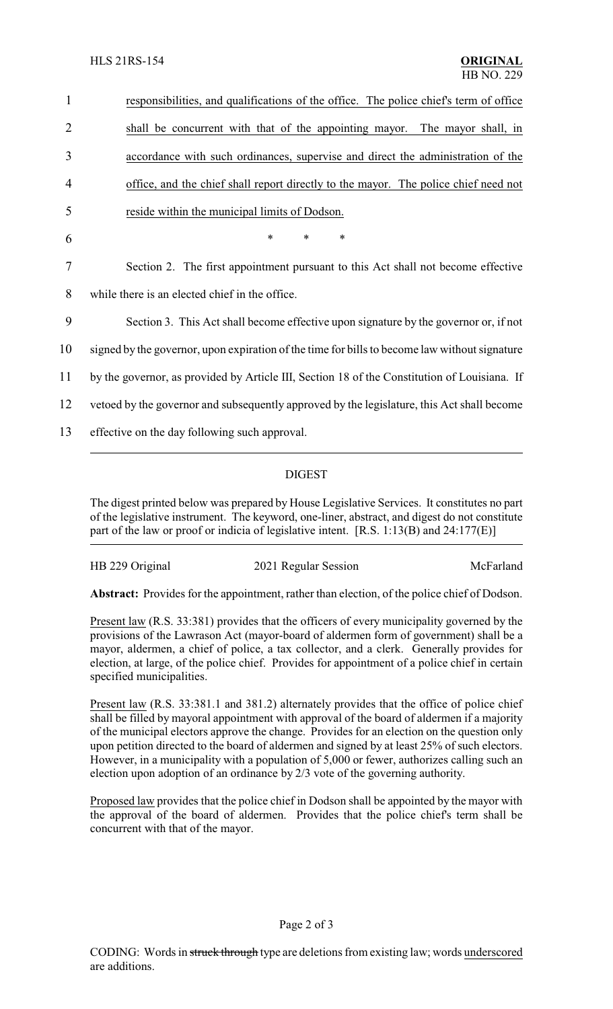responsibilities, and qualifications of the office. The police chief's term of office shall be concurrent with that of the appointing mayor. The mayor shall, in accordance with such ordinances, supervise and direct the administration of the office, and the chief shall report directly to the mayor. The police chief need not reside within the municipal limits of Dodson. 6 \* \* \* Section 2. The first appointment pursuant to this Act shall not become effective while there is an elected chief in the office. Section 3. This Act shall become effective upon signature by the governor or, if not signed by the governor, upon expiration of the time for bills to become law without signature by the governor, as provided by Article III, Section 18 of the Constitution of Louisiana. If vetoed by the governor and subsequently approved by the legislature, this Act shall become effective on the day following such approval.

## DIGEST

The digest printed below was prepared by House Legislative Services. It constitutes no part of the legislative instrument. The keyword, one-liner, abstract, and digest do not constitute part of the law or proof or indicia of legislative intent. [R.S. 1:13(B) and 24:177(E)]

| HB 229 Original | 2021 Regular Session | McFarland |
|-----------------|----------------------|-----------|
|                 |                      |           |

**Abstract:** Provides for the appointment, rather than election, of the police chief of Dodson.

Present law (R.S. 33:381) provides that the officers of every municipality governed by the provisions of the Lawrason Act (mayor-board of aldermen form of government) shall be a mayor, aldermen, a chief of police, a tax collector, and a clerk. Generally provides for election, at large, of the police chief. Provides for appointment of a police chief in certain specified municipalities.

Present law (R.S. 33:381.1 and 381.2) alternately provides that the office of police chief shall be filled by mayoral appointment with approval of the board of aldermen if a majority of the municipal electors approve the change. Provides for an election on the question only upon petition directed to the board of aldermen and signed by at least 25% of such electors. However, in a municipality with a population of 5,000 or fewer, authorizes calling such an election upon adoption of an ordinance by 2/3 vote of the governing authority.

Proposed law provides that the police chief in Dodson shall be appointed by the mayor with the approval of the board of aldermen. Provides that the police chief's term shall be concurrent with that of the mayor.